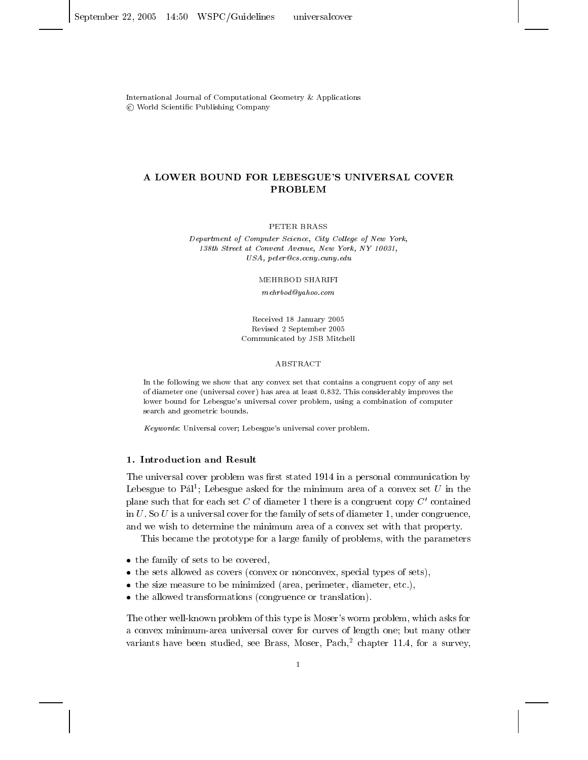International Journal of Computational Geometry & Applications © World Scientific Publishing Company

# A LOWER BOUND FOR LEBESGUE'S UNIVERSAL COVER **PROBLEM**

PETER BRASS

Department of Computer Science, City College of New York, 138th Street at Convent Avenue, New York, NY 10031,  $USA, \, peter@cs. \,ceny. \,cuny. \,edu$ 

MEHRBOD SHARIFI

 $mehrbod Qyahoo.com$ 

Received 18 January 2005 Revised 2 September 2005 Communicated by JSB Mitchell

#### ABSTRACT

In the following we show that any convex set that contains a congruent copy of any set of diameter one (universal cover) has area at least 0.832. This considerably improves the lower bound for Lebesgue's universal cover problem, using a combination of computer search and geometric bounds.

Keywords: Universal cover; Lebesgue's universal cover problem.

### 1. Introduction and Result

The universal cover problem was first stated 1914 in a personal communication by Lebesgue to  $P\acute{a}ll^1$ ; Lebesgue asked for the minimum area of a convex set U in the plane such that for each set C of diameter 1 there is a congruent copy  $C'$  contained in  $U$ . So  $U$  is a universal cover for the family of sets of diameter 1, under congruence, and we wish to determine the minimum area of a convex set with that property.

This became the prototype for a large family of problems, with the parameters

- the family of sets to be covered,
- the sets allowed as covers (convex or nonconvex, special types of sets),
- the size measure to be minimized (area, perimeter, diameter, etc.),
- the allowed transformations (congruence or translation).

The other well-known problem of this type is Moser's worm problem, which asks for a convex minimum-area universal cover for curves of length one; but many other variants have been studied, see Brass, Moser, Pach,<sup>2</sup> chapter 11.4, for a survey,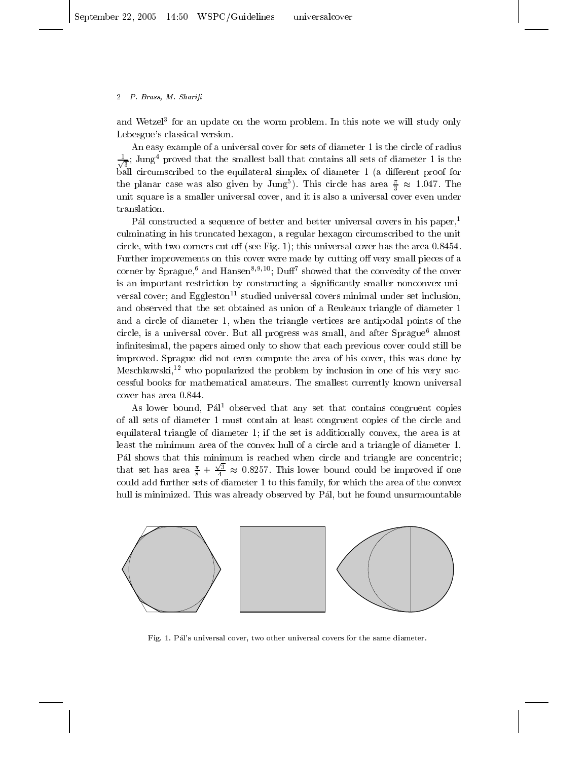and Wetzel<sup>3</sup> for an update on the worm problem. In this note we will study only Lebesgue's classical version.

An easy example of a universal cover for sets of diameter 1 is the circle of radius  $\frac{1}{\sqrt{3}}$ ; Jung<sup>4</sup> proved that the smallest ball that contains all sets of diameter 1 is the ball circumscribed to the equilateral simplex of diameter 1 (a different proof for the planar case was also given by Jung<sup>5</sup>). This circle has area  $\frac{\pi}{3} \approx 1.047$ . The unit square is a smaller universal cover, and it is also a universal cover even under translation.

Pál constructed a sequence of better and better universal covers in his paper,<sup>1</sup> culminating in his truncated hexagon, a regular hexagon circumscribed to the unit circle, with two corners cut off (see Fig. 1); this universal cover has the area  $0.8454$ . Further improvements on this cover were made by cutting off very small pieces of a corner by Sprague,<sup>6</sup> and Hansen<sup>8,9,10</sup>; Duff<sup>7</sup> showed that the convexity of the cover is an important restriction by constructing a significantly smaller nonconvex universal cover; and Eggleston<sup>11</sup> studied universal covers minimal under set inclusion. and observed that the set obtained as union of a Reuleaux triangle of diameter 1 and a circle of diameter 1, when the triangle vertices are antipodal points of the circle, is a universal cover. But all progress was small, and after Sprague<sup>6</sup> almost infinitesimal, the papers aimed only to show that each previous cover could still be improved. Sprague did not even compute the area of his cover, this was done by Meschkowski,<sup>12</sup> who popularized the problem by inclusion in one of his very successful books for mathematical amateurs. The smallest currently known universal cover has area 0.844.

As lower bound, Pal<sup>1</sup> observed that any set that contains congruent copies of all sets of diameter 1 must contain at least congruent copies of the circle and equilateral triangle of diameter 1; if the set is additionally convex, the area is at least the minimum area of the convex hull of a circle and a triangle of diameter 1. Pál shows that this minimum is reached when circle and triangle are concentric; that set has area  $\frac{\pi}{8} + \frac{\sqrt{3}}{4} \approx 0.8257$ . This lower bound could be improved if one could add further sets of diameter 1 to this family, for which the area of the convex hull is minimized. This was already observed by Pál, but he found unsurmountable



Fig. 1. Pál's universal cover, two other universal covers for the same diameter.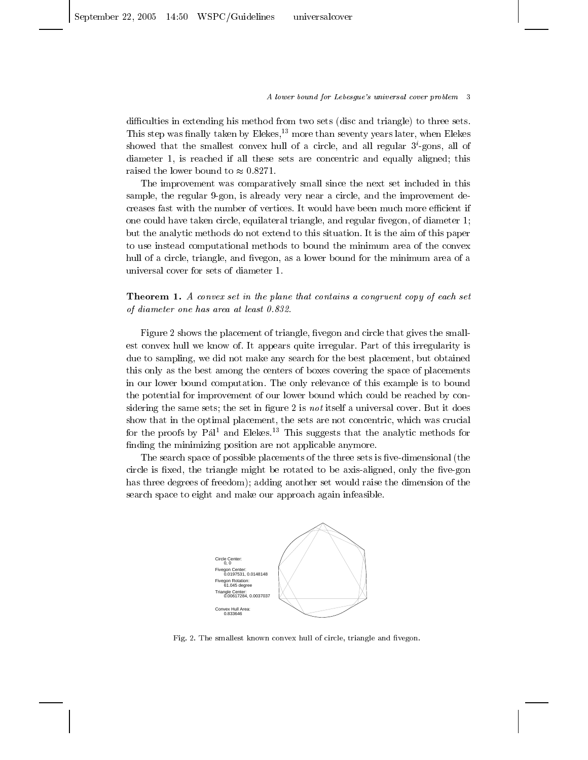A lower bound for Lebesgue's universal cover problem 3

difficulties in extending his method from two sets (disc and triangle) to three sets. This step was finally taken by Elekes,<sup>13</sup> more than seventy years later, when Elekes showed that the smallest convex hull of a circle, and all regular  $3<sup>i</sup>$ -gons, all of diameter 1, is reached if all these sets are concentric and equally aligned; this raised the lower bound to  $\approx 0.8271$ .

The improvement was comparatively small since the next set included in this sample, the regular 9-gon, is already very near a circle, and the improvement decreases fast with the number of vertices. It would have been much more efficient if one could have taken circle, equilateral triangle, and regular fivegon, of diameter 1; but the analytic methods do not extend to this situation. It is the aim of this paper to use instead computational methods to bound the minimum area of the convex hull of a circle, triangle, and fivegon, as a lower bound for the minimum area of a universal cover for sets of diameter 1.

**Theorem 1.** A convex set in the plane that contains a congruent copy of each set of diameter one has area at least 0.832

Figure 2 shows the placement of triangle, five gon and circle that gives the smallest convex hull we know of. It appears quite irregular. Part of this irregularity is due to sampling, we did not make any search for the best placement, but obtained this only as the best among the centers of boxes covering the space of placements in our lower bound computation. The only relevance of this example is to bound the potential for improvement of our lower bound which could be reached by considering the same sets; the set in figure 2 is not itself a universal cover. But it does show that in the optimal placement, the sets are not concentric, which was crucial for the proofs by  $P\acute{a}l^1$  and Elekes.<sup>13</sup> This suggests that the analytic methods for finding the minimizing position are not applicable anymore.

The search space of possible placements of the three sets is five-dimensional (the circle is fixed, the triangle might be rotated to be axis-aligned, only the five-gon has three degrees of freedom); adding another set would raise the dimension of the search space to eight and make our approach again infeasible.



Fig. 2. The smallest known convex hull of circle, triangle and fivegon.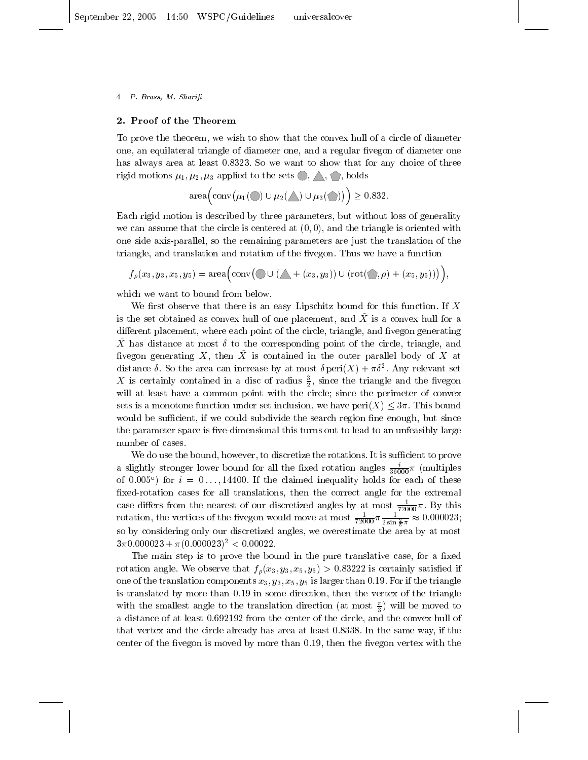#### 2. Proof of the Theorem

To prove the theorem, we wish to show that the convex hull of a circle of diameter one, an equilateral triangle of diameter one, and a regular fivegon of diameter one has always area at least 0.8323. So we want to show that for any choice of three rigid motions  $\mu_1, \mu_2, \mu_3$  applied to the sets  $\bigcirc$ ,  $\bigwedge$ ,  $\bigcirc$ , holds

 $area \Big( conv(\mu_1(\bigcirc) \cup \mu_2(\bigwedge) \cup \mu_3(\bigcirc)) \Big) \geq 0.832.$ 

Each rigid motion is described by three parameters, but without loss of generality we can assume that the circle is centered at  $(0,0)$ , and the triangle is oriented with one side axis-parallel, so the remaining parameters are just the translation of the triangle, and translation and rotation of the fivegon. Thus we have a function

$$
f_{\rho}(x_3,y_3,x_5,y_5)=\operatorname{area}\Big(\operatorname{conv}\big(\bigcirc\cup\big(\bigwedge+(x_3,y_3)\big)\cup(\operatorname{rot}\big(\bigcirc,\rho)+(x_5,y_5)\big)\big)\Big),
$$

which we want to bound from below.

We first observe that there is an easy Lipschitz bound for this function. If  $X$ is the set obtained as convex hull of one placement, and  $\ddot{X}$  is a convex hull for a different placement, where each point of the circle, triangle, and fivegon generating X has distance at most  $\delta$  to the corresponding point of the circle, triangle, and fivegon generating  $X$ , then  $X$  is contained in the outer parallel body of  $X$  at distance  $\delta$ . So the area can increase by at most  $\delta$  peri $(X) + \pi \delta^2$ . Any relevant set X is certainly contained in a disc of radius  $\frac{3}{2}$ , since the triangle and the fivegon will at least have a common point with the circle; since the perimeter of convex sets is a monotone function under set inclusion, we have  $\text{peri}(X) \leq 3\pi$ . This bound would be sufficient, if we could subdivide the search region fine enough, but since the parameter space is five-dimensional this turns out to lead to an unfeasibly large number of cases.

We do use the bound, however, to discretize the rotations. It is sufficient to prove a slightly stronger lower bound for all the fixed rotation angles  $\frac{i}{36000}\pi$  (multiples of 0.005°) for  $i = 0 \ldots, 14400$ . If the claimed inequality holds for each of these fixed-rotation cases for all translations, then the correct angle for the extremal case differs from the nearest of our discretized angles by at most  $\frac{1}{72000}\pi$ . By this rotation, the vertices of the fivegon would move at most  $\frac{1}{72000}\pi \frac{1}{2 \sin \frac{2}{5}\pi} \approx 0.000023$ ; so by considering only our discretized angles, we overestimate the area by at most  $3\pi 0.000023 + \pi (0.000023)^2 < 0.00022$ .

The main step is to prove the bound in the pure translative case, for a fixed rotation angle. We observe that  $f_{\rho}(x_3, y_3, x_5, y_5) > 0.83222$  is certainly satisfied if one of the translation components  $x_3, y_3, x_5, y_5$  is larger than 0.19. For if the triangle is translated by more than 0.19 in some direction, then the vertex of the triangle with the smallest angle to the translation direction (at most  $\frac{\pi}{3}$ ) will be moved to a distance of at least 0.692192 from the center of the circle, and the convex hull of that vertex and the circle already has area at least 0.8338. In the same way, if the center of the fivegon is moved by more than 0.19, then the fivegon vertex with the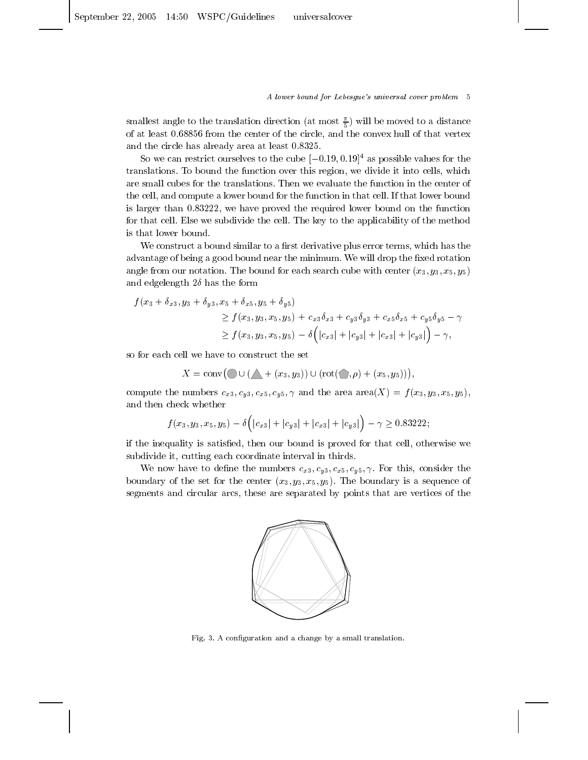A lower bound for Lebesgue's universal cover problem 5

smallest angle to the translation direction (at most  $\frac{\pi}{5}$ ) will be moved to a distance of at least 0.68856 from the center of the circle, and the convex hull of that vertex and the circle has already area at least 0.8325.

So we can restrict ourselves to the cube  $[-0.19, 0.19]$ <sup>4</sup> as possible values for the translations. To bound the function over this region, we divide it into cells, which are small cubes for the translations. Then we evaluate the function in the center of the cell, and compute a lower bound for the function in that cell. If that lower bound is larger than 0.83222, we have proved the required lower bound on the function for that cell. Else we subdivide the cell. The key to the applicability of the method is that lower bound.

We construct a bound similar to a first derivative plus error terms, which has the advantage of being a good bound near the minimum. We will drop the fixed rotation angle from our notation. The bound for each search cube with center  $(x_3, y_3, x_5, y_5)$ and edgelength  $2\delta$  has the form

$$
f(x_3 + \delta_{x3}, y_3 + \delta_{y3}, x_5 + \delta_{x5}, y_5 + \delta_{y5})
$$
  
\n
$$
\geq f(x_3, y_3, x_5, y_5) + c_{x3}\delta_{x3} + c_{y3}\delta_{y3} + c_{x5}\delta_{x5} + c_{y5}\delta_{y5} - \gamma
$$
  
\n
$$
\geq f(x_3, y_3, x_5, y_5) - \delta(|c_{x3}| + |c_{y3}| + |c_{x3}| + |c_{y3}|) - \gamma,
$$

so for each cell we have to construct the set

$$
X = \operatorname{conv}(\bigcirc \cup (\bigwedge + (x_3, y_3)) \cup (\operatorname{rot}(\bigcirc, \rho) + (x_5, y_5))),
$$

compute the numbers  $c_{x3}, c_{y3}, c_{x5}, c_{y5}, \gamma$  and the area area $(X) = f(x_3, y_3, x_5, y_5)$ , and then check whether

$$
f(x_3, y_3, x_5, y_5) - \delta(|c_{x3}| + |c_{y3}| + |c_{x3}| + |c_{y3}|) - \gamma \ge 0.83222;
$$

if the inequality is satisfied, then our bound is proved for that cell, otherwise we subdivide it, cutting each coordinate interval in thirds.

We now have to define the numbers  $c_{x3}, c_{y3}, c_{x5}, c_{y5}, \gamma$ . For this, consider the boundary of the set for the center  $(x_3, y_3, x_5, y_5)$ . The boundary is a sequence of segments and circular arcs, these are separated by points that are vertices of the



Fig. 3. A configuration and a change by a small translation.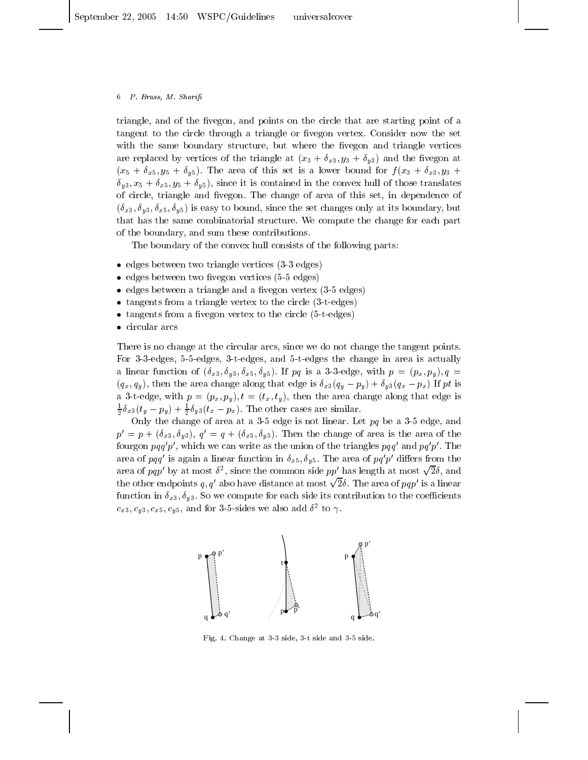triangle, and of the fivegon, and points on the circle that are starting point of a tangent to the circle through a triangle or fivegon vertex. Consider now the set with the same boundary structure, but where the fivegon and triangle vertices are replaced by vertices of the triangle at  $(x_3 + \delta_{x3}, y_3 + \delta_{y3})$  and the fivegon at  $(x_5 + \delta_{x5}, y_5 + \delta_{y5})$ . The area of this set is a lower bound for  $f(x_3 + \delta_{x3}, y_3 + \delta_{y5})$  $\delta_{y3}, x_5 + \delta_{x5}, y_5 + \delta_{y5}$ , since it is contained in the convex hull of those translates of circle, triangle and fivegon. The change of area of this set, in dependence of  $(\delta_{x3}, \delta_{y3}, \delta_{x5}, \delta_{y5})$  is easy to bound, since the set changes only at its boundary, but that has the same combinatorial structure. We compute the change for each part of the boundary, and sum these contributions.

The boundary of the convex hull consists of the following parts:

- $\bullet$  edges between two triangle vertices (3-3 edges)
- edges between two fivegon vertices  $(5-5 \text{ edges})$
- $\bullet$  edges between a triangle and a fivegon vertex (3-5 edges)
- $\bullet$  tangents from a triangle vertex to the circle  $(3-t-edges)$
- $\bullet$  tangents from a fivegon vertex to the circle (5-t-edges)
- $\bullet$  circular arcs

There is no change at the circular arcs, since we do not change the tangent points. For 3-3-edges, 5-5-edges, 3-t-edges, and 5-t-edges the change in area is actually a linear function of  $(\delta_{x3}, \delta_{y3}, \delta_{x5}, \delta_{y5})$ . If pq is a 3-3-edge, with  $p = (p_x, p_y), q =$  $(q_x, q_y)$ , then the area change along that edge is  $\delta_{x3}(q_y - p_y) + \delta_{y3}(q_x - p_x)$  If pt is a 3-t-edge, with  $p = (p_x, p_y), t = (t_x, t_y)$ , then the area change along that edge is  $\frac{1}{2}\delta_{x3}(t_y - p_y) + \frac{1}{2}\delta_{y3}(t_x - p_x)$ . The other cases are similar.

Only the change of area at a 3-5 edge is not linear. Let  $pq$  be a 3-5 edge, and  $p' = p + (\delta_{x3}, \delta_{y3}), q' = q + (\delta_{x5}, \delta_{y5}).$  Then the change of area is the area of the fourgon  $pqq'p'$ , which we can write as the union of the triangles  $pqq'$  and  $pq'p'$ . The area of pqq' is again a linear function in  $\delta_{x5}$ ,  $\delta_{y5}$ . The area of pq'p' differs from the area of pqp' by at most  $\delta^2$ , since the common side pp' has length at most  $\sqrt{2}\delta$ , and the other endpoints q, q' also have distance at most  $\sqrt{2}\delta$ . The area of pqp' is a linear function in  $\delta_{x3}, \delta_{y3}$ . So we compute for each side its contribution to the coefficients  $c_{x3}, c_{y3}, c_{x5}, c_{y5}$ , and for 3-5-sides we also add  $\delta^2$  to  $\gamma$ .



Fig. 4. Change at 3-3 side, 3-t side and 3-5 side.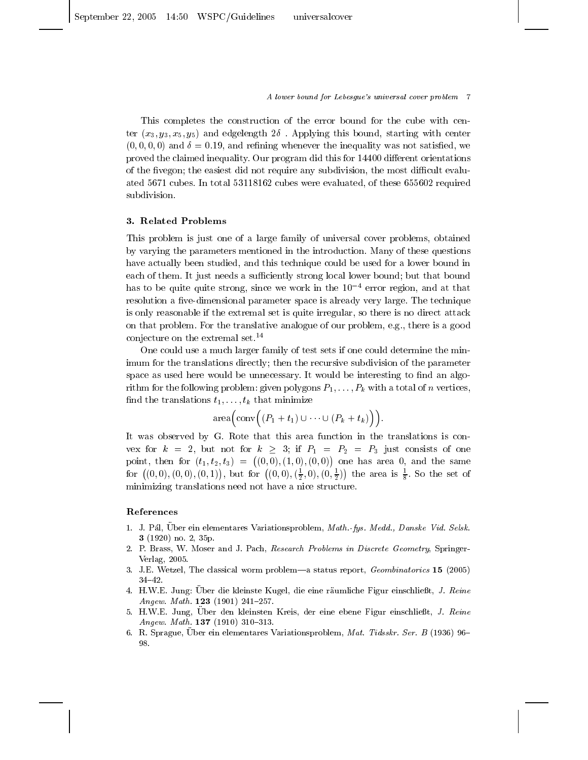A lower bound for Lebesgue's universal cover problem 7

This completes the construction of the error bound for the cube with center  $(x_3, y_3, x_5, y_5)$  and edgelength  $2\delta$ . Applying this bound, starting with center  $(0,0,0,0)$  and  $\delta = 0.19$ , and refining whenever the inequality was not satisfied, we proved the claimed inequality. Our program did this for 14400 different orientations of the fivegon; the easiest did not require any subdivision, the most difficult evaluated 5671 cubes. In total 53118162 cubes were evaluated, of these 655602 required subdivision.

# 3. Related Problems

This problem is just one of a large family of universal cover problems, obtained by varying the parameters mentioned in the introduction. Many of these questions have actually been studied, and this technique could be used for a lower bound in each of them. It just needs a sufficiently strong local lower bound; but that bound has to be quite quite strong, since we work in the  $10^{-4}$  error region, and at that resolution a five-dimensional parameter space is already very large. The technique is only reasonable if the extremal set is quite irregular, so there is no direct attack on that problem. For the translative analogue of our problem, e.g., there is a good conjecture on the extremal set. $^{14}$ 

One could use a much larger family of test sets if one could determine the minimum for the translations directly; then the recursive subdivision of the parameter space as used here would be unnecessary. It would be interesting to find an algorithm for the following problem: given polygons  $P_1, \ldots, P_k$  with a total of *n* vertices, find the translations  $t_1, \ldots, t_k$  that minimize

$$
\operatorname{area}\Big(\operatorname{conv}\Big((P_1+t_1)\cup\cdots\cup(P_k+t_k)\Big)\Big).
$$

It was observed by G. Rote that this area function in the translations is convex for  $k = 2$ , but not for  $k \geq 3$ ; if  $P_1 = P_2 = P_3$  just consists of one point, then for  $(t_1, t_2, t_3) = ((0, 0), (1, 0), (0, 0))$  one has area 0, and the same for  $((0,0),(0,0),(0,1))$ , but for  $((0,0),(\frac{1}{2},0),(0,\frac{1}{2}))$  the area is  $\frac{1}{8}$ . So the set of minimizing translations need not have a nice structure.

# References

- 1. J. Pál, Über ein elementares Variationsproblem, Math.-fys. Medd., Danske Vid. Selsk. 3 (1920) no. 2, 35p.
- 2. P. Brass, W. Moser and J. Pach, Research Problems in Discrete Geometry, Springer-Verlag, 2005.
- 3. J.E. Wetzel, The classical worm problem—a status report, *Geombinatorics* 15 (2005)  $34 - 42.$
- 4. H.W.E. Jung: Über die kleinste Kugel, die eine räumliche Figur einschließt, J. Reine Angew. Math. 123 (1901) 241-257.
- 5. H.W.E. Jung, Uber den kleinsten Kreis, der eine ebene Figur einschließt, J. Reine Angew. Math. 137 (1910) 310-313.
- 6. R. Sprague, Uber ein elementares Variationsproblem, Mat. Tidsskr. Ser. B (1936) 96-98.